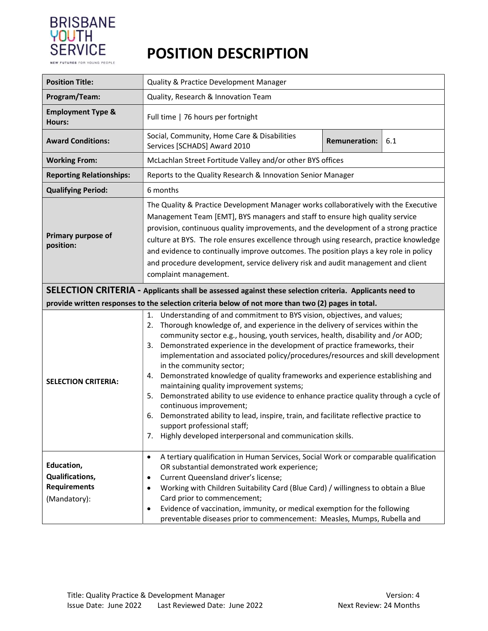

## POSITION DESCRIPTION

| <b>Position Title:</b>                                               | Quality & Practice Development Manager                                                                                                                                                                                                                                                                                                                                                                                                                                                                                                                                                                                                                                                                                                                                                                                                                                                                         |  |  |  |  |  |
|----------------------------------------------------------------------|----------------------------------------------------------------------------------------------------------------------------------------------------------------------------------------------------------------------------------------------------------------------------------------------------------------------------------------------------------------------------------------------------------------------------------------------------------------------------------------------------------------------------------------------------------------------------------------------------------------------------------------------------------------------------------------------------------------------------------------------------------------------------------------------------------------------------------------------------------------------------------------------------------------|--|--|--|--|--|
| Program/Team:                                                        | Quality, Research & Innovation Team                                                                                                                                                                                                                                                                                                                                                                                                                                                                                                                                                                                                                                                                                                                                                                                                                                                                            |  |  |  |  |  |
| <b>Employment Type &amp;</b><br><b>Hours:</b>                        | Full time   76 hours per fortnight                                                                                                                                                                                                                                                                                                                                                                                                                                                                                                                                                                                                                                                                                                                                                                                                                                                                             |  |  |  |  |  |
| <b>Award Conditions:</b>                                             | Social, Community, Home Care & Disabilities<br>6.1<br><b>Remuneration:</b><br>Services [SCHADS] Award 2010                                                                                                                                                                                                                                                                                                                                                                                                                                                                                                                                                                                                                                                                                                                                                                                                     |  |  |  |  |  |
| <b>Working From:</b>                                                 | McLachlan Street Fortitude Valley and/or other BYS offices                                                                                                                                                                                                                                                                                                                                                                                                                                                                                                                                                                                                                                                                                                                                                                                                                                                     |  |  |  |  |  |
| <b>Reporting Relationships:</b>                                      | Reports to the Quality Research & Innovation Senior Manager                                                                                                                                                                                                                                                                                                                                                                                                                                                                                                                                                                                                                                                                                                                                                                                                                                                    |  |  |  |  |  |
| <b>Qualifying Period:</b>                                            | 6 months                                                                                                                                                                                                                                                                                                                                                                                                                                                                                                                                                                                                                                                                                                                                                                                                                                                                                                       |  |  |  |  |  |
| Primary purpose of<br>position:                                      | The Quality & Practice Development Manager works collaboratively with the Executive<br>Management Team [EMT], BYS managers and staff to ensure high quality service<br>provision, continuous quality improvements, and the development of a strong practice<br>culture at BYS. The role ensures excellence through using research, practice knowledge<br>and evidence to continually improve outcomes. The position plays a key role in policy<br>and procedure development, service delivery risk and audit management and client<br>complaint management.                                                                                                                                                                                                                                                                                                                                                    |  |  |  |  |  |
|                                                                      | SELECTION CRITERIA - Applicants shall be assessed against these selection criteria. Applicants need to<br>provide written responses to the selection criteria below of not more than two (2) pages in total.                                                                                                                                                                                                                                                                                                                                                                                                                                                                                                                                                                                                                                                                                                   |  |  |  |  |  |
| <b>SELECTION CRITERIA:</b>                                           | Understanding of and commitment to BYS vision, objectives, and values;<br>1.<br>Thorough knowledge of, and experience in the delivery of services within the<br>2.<br>community sector e.g., housing, youth services, health, disability and /or AOD;<br>Demonstrated experience in the development of practice frameworks, their<br>3.<br>implementation and associated policy/procedures/resources and skill development<br>in the community sector;<br>Demonstrated knowledge of quality frameworks and experience establishing and<br>4.<br>maintaining quality improvement systems;<br>Demonstrated ability to use evidence to enhance practice quality through a cycle of<br>5.<br>continuous improvement;<br>Demonstrated ability to lead, inspire, train, and facilitate reflective practice to<br>6.<br>support professional staff;<br>Highly developed interpersonal and communication skills.<br>7. |  |  |  |  |  |
| Education,<br>Qualifications,<br><b>Requirements</b><br>(Mandatory): | A tertiary qualification in Human Services, Social Work or comparable qualification<br>$\bullet$<br>OR substantial demonstrated work experience;<br>Current Queensland driver's license;<br>$\bullet$<br>Working with Children Suitability Card (Blue Card) / willingness to obtain a Blue<br>٠<br>Card prior to commencement;<br>Evidence of vaccination, immunity, or medical exemption for the following<br>$\bullet$<br>preventable diseases prior to commencement: Measles, Mumps, Rubella and                                                                                                                                                                                                                                                                                                                                                                                                            |  |  |  |  |  |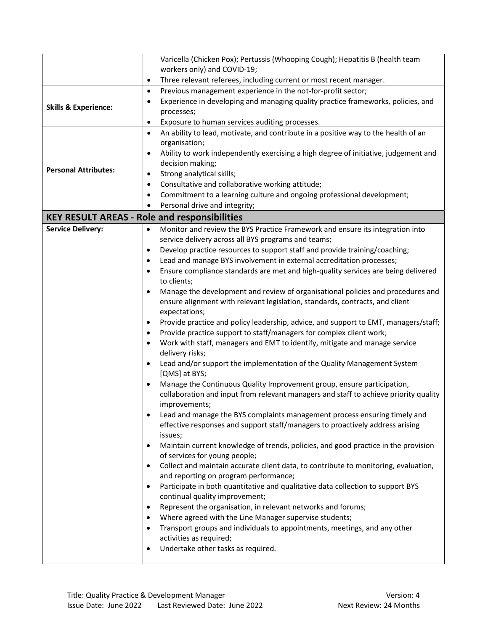|                                                     | Varicella (Chicken Pox); Pertussis (Whooping Cough); Hepatitis B (health team                    |  |  |  |  |  |  |  |  |
|-----------------------------------------------------|--------------------------------------------------------------------------------------------------|--|--|--|--|--|--|--|--|
|                                                     | workers only) and COVID-19;                                                                      |  |  |  |  |  |  |  |  |
|                                                     | Three relevant referees, including current or most recent manager.<br>٠                          |  |  |  |  |  |  |  |  |
|                                                     | Previous management experience in the not-for-profit sector;<br>$\bullet$                        |  |  |  |  |  |  |  |  |
|                                                     | Experience in developing and managing quality practice frameworks, policies, and<br>٠            |  |  |  |  |  |  |  |  |
| <b>Skills &amp; Experience:</b>                     | processes;                                                                                       |  |  |  |  |  |  |  |  |
|                                                     | Exposure to human services auditing processes.<br>$\bullet$                                      |  |  |  |  |  |  |  |  |
|                                                     | An ability to lead, motivate, and contribute in a positive way to the health of an<br>$\bullet$  |  |  |  |  |  |  |  |  |
|                                                     | organisation;                                                                                    |  |  |  |  |  |  |  |  |
|                                                     | Ability to work independently exercising a high degree of initiative, judgement and              |  |  |  |  |  |  |  |  |
| <b>Personal Attributes:</b>                         | decision making;                                                                                 |  |  |  |  |  |  |  |  |
|                                                     | Strong analytical skills;<br>$\bullet$                                                           |  |  |  |  |  |  |  |  |
|                                                     | Consultative and collaborative working attitude;<br>$\bullet$                                    |  |  |  |  |  |  |  |  |
|                                                     | Commitment to a learning culture and ongoing professional development;<br>$\bullet$              |  |  |  |  |  |  |  |  |
|                                                     | Personal drive and integrity;                                                                    |  |  |  |  |  |  |  |  |
| <b>KEY RESULT AREAS - Role and responsibilities</b> |                                                                                                  |  |  |  |  |  |  |  |  |
| <b>Service Delivery:</b>                            | Monitor and review the BYS Practice Framework and ensure its integration into                    |  |  |  |  |  |  |  |  |
|                                                     | service delivery across all BYS programs and teams;                                              |  |  |  |  |  |  |  |  |
|                                                     | Develop practice resources to support staff and provide training/coaching;<br>٠                  |  |  |  |  |  |  |  |  |
|                                                     | Lead and manage BYS involvement in external accreditation processes;<br>$\bullet$                |  |  |  |  |  |  |  |  |
|                                                     | Ensure compliance standards are met and high-quality services are being delivered<br>$\bullet$   |  |  |  |  |  |  |  |  |
|                                                     | to clients;                                                                                      |  |  |  |  |  |  |  |  |
|                                                     | Manage the development and review of organisational policies and procedures and                  |  |  |  |  |  |  |  |  |
|                                                     | ensure alignment with relevant legislation, standards, contracts, and client<br>expectations;    |  |  |  |  |  |  |  |  |
|                                                     | Provide practice and policy leadership, advice, and support to EMT, managers/staff;<br>$\bullet$ |  |  |  |  |  |  |  |  |
|                                                     | Provide practice support to staff/managers for complex client work;                              |  |  |  |  |  |  |  |  |
|                                                     | Work with staff, managers and EMT to identify, mitigate and manage service                       |  |  |  |  |  |  |  |  |
|                                                     | delivery risks;                                                                                  |  |  |  |  |  |  |  |  |
|                                                     | Lead and/or support the implementation of the Quality Management System                          |  |  |  |  |  |  |  |  |
|                                                     | [QMS] at BYS;                                                                                    |  |  |  |  |  |  |  |  |
|                                                     | Manage the Continuous Quality Improvement group, ensure participation,                           |  |  |  |  |  |  |  |  |
|                                                     | collaboration and input from relevant managers and staff to achieve priority quality             |  |  |  |  |  |  |  |  |
|                                                     | improvements;                                                                                    |  |  |  |  |  |  |  |  |
|                                                     | Lead and manage the BYS complaints management process ensuring timely and                        |  |  |  |  |  |  |  |  |
|                                                     | effective responses and support staff/managers to proactively address arising                    |  |  |  |  |  |  |  |  |
|                                                     | issues;                                                                                          |  |  |  |  |  |  |  |  |
|                                                     | Maintain current knowledge of trends, policies, and good practice in the provision<br>$\bullet$  |  |  |  |  |  |  |  |  |
|                                                     | of services for young people;                                                                    |  |  |  |  |  |  |  |  |
|                                                     | Collect and maintain accurate client data, to contribute to monitoring, evaluation,<br>$\bullet$ |  |  |  |  |  |  |  |  |
|                                                     | and reporting on program performance;                                                            |  |  |  |  |  |  |  |  |
|                                                     | Participate in both quantitative and qualitative data collection to support BYS<br>$\bullet$     |  |  |  |  |  |  |  |  |
|                                                     | continual quality improvement;                                                                   |  |  |  |  |  |  |  |  |
|                                                     | Represent the organisation, in relevant networks and forums;<br>٠                                |  |  |  |  |  |  |  |  |
|                                                     | Where agreed with the Line Manager supervise students;                                           |  |  |  |  |  |  |  |  |
|                                                     | Transport groups and individuals to appointments, meetings, and any other                        |  |  |  |  |  |  |  |  |
|                                                     | activities as required;<br>Undertake other tasks as required.                                    |  |  |  |  |  |  |  |  |
|                                                     |                                                                                                  |  |  |  |  |  |  |  |  |